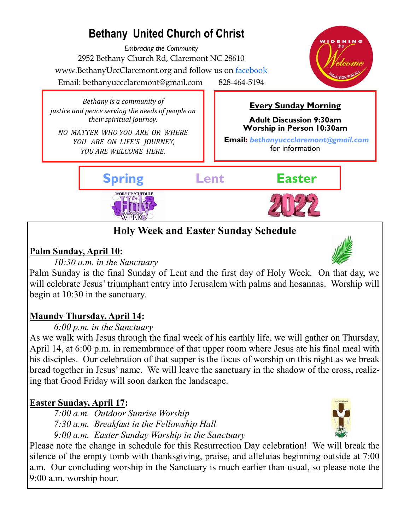# **Bethany United Church of Christ**

*Embracing the Community* 2952 Bethany Church Rd, Claremont NC 28610 www.BethanyUccClaremont.org and follow us on facebook Email: bethanyuccclaremont@gmail.com 828-464-5194



*Bethany is a community of justice and peace serving the needs of people on their spiritual journey.*

*NO MATTER WHO YOU ARE OR WHERE YOU ARE ON LIFE'S JOURNEY, YOU ARE WELCOME HERE*.

**Every Sunday Morning**

**Adult Discussion 9:30am Worship in Person 10:30am**

 **Email:** *bethanyuccclaremont@gmail.com*  for information



**Holy Week and Easter Sunday Schedule**

# **Palm Sunday, April 10:**

*10:30 a.m. in the Sanctuary*

Palm Sunday is the final Sunday of Lent and the first day of Holy Week. On that day, we will celebrate Jesus' triumphant entry into Jerusalem with palms and hosannas. Worship will begin at 10:30 in the sanctuary.

# **Maundy Thursday, April 14:**

## *6:00 p.m. in the Sanctuary*

As we walk with Jesus through the final week of his earthly life, we will gather on Thursday, April 14, at 6:00 p.m. in remembrance of that upper room where Jesus ate his final meal with his disciples. Our celebration of that supper is the focus of worship on this night as we break bread together in Jesus' name. We will leave the sanctuary in the shadow of the cross, realizing that Good Friday will soon darken the landscape.

# **Easter Sunday, April 17:**

*7:00 a.m. Outdoor Sunrise Worship 7:30 a.m. Breakfast in the Fellowship Hall*

*9:00 a.m. Easter Sunday Worship in the Sanctuary*

Please note the change in schedule for this Resurrection Day celebration! We will break the silence of the empty tomb with thanksgiving, praise, and alleluias beginning outside at 7:00 a.m. Our concluding worship in the Sanctuary is much earlier than usual, so please note the 9:00 a.m. worship hour.